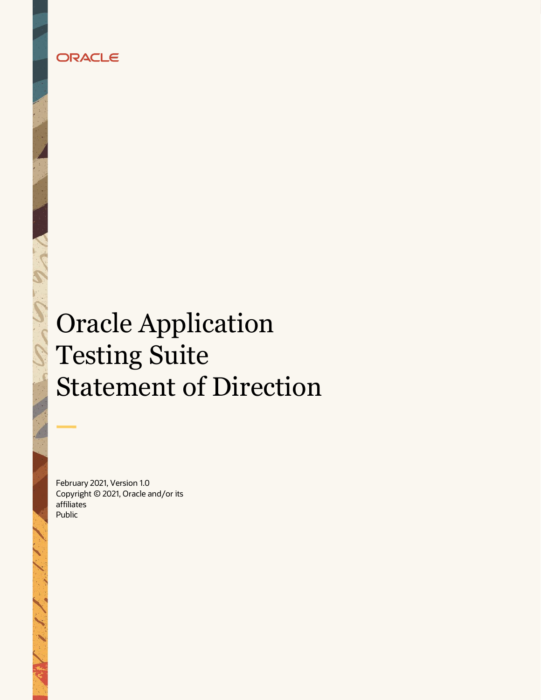# ORACLE

# Oracle Application Testing Suite Statement of Direction

February 2021, Version 1.0 Copyright © 2021, Oracle and/or its affiliates Public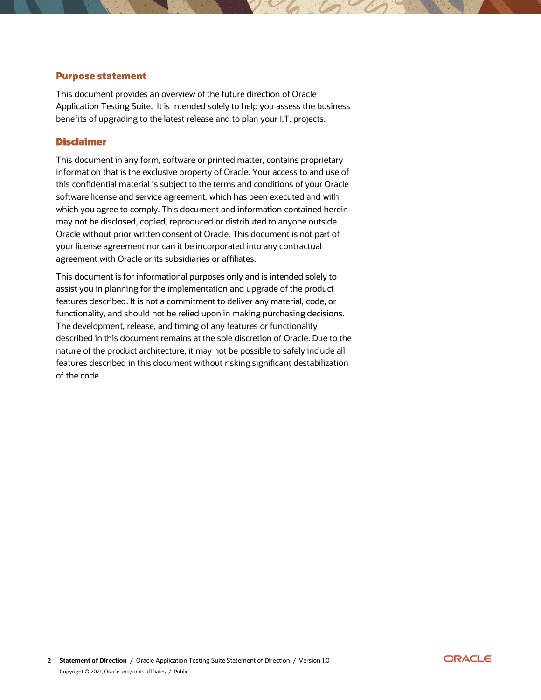## **Purpose statement**

This document provides an overview of the future direction of Oracle Application Testing Suite. It is intended solely to help you assess the business benefits of upgrading to the latest release and to plan your I.T. projects.

### **Disclaimer**

This document in any form, software or printed matter, contains proprietary information that is the exclusive property of Oracle. Your access to and use of this confidential material is subject to the terms and conditions of your Oracle software license and service agreement, which has been executed and with which you agree to comply. This document and information contained herein may not be disclosed, copied, reproduced or distributed to anyone outside Oracle without prior written consent of Oracle. This document is not part of your license agreement nor can it be incorporated into any contractual agreement with Oracle or its subsidiaries or affiliates.

This document is for informational purposes only and is intended solely to assist you in planning for the implementation and upgrade of the product features described. It is not a commitment to deliver any material, code, or functionality, and should not be relied upon in making purchasing decisions. The development, release, and timing of any features or functionality described in this document remains at the sole discretion of Oracle. Due to the nature of the product architecture, it may not be possible to safely include all features described in this document without risking significant destabilization of the code.

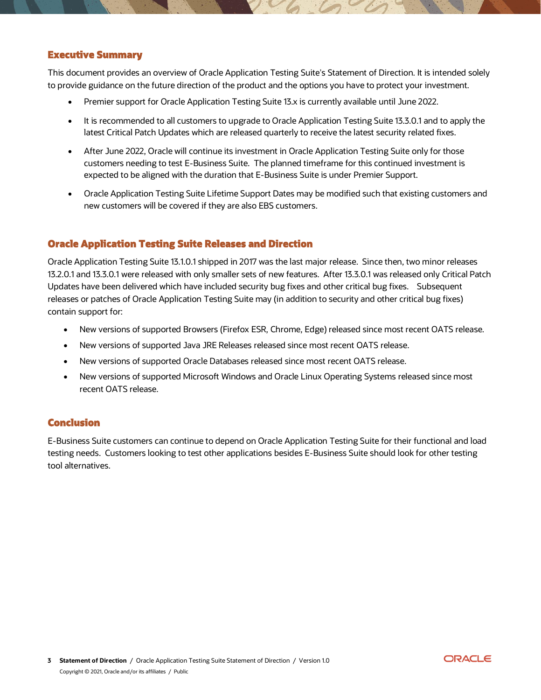#### **Executive Summary**

This document provides an overview of Oracle Application Testing Suite's Statement of Direction. It is intended solely to provide guidance on the future direction of the product and the options you have to protect your investment.

- Premier support for Oracle Application Testing Suite 13.x is currently available until June 2022.
- It is recommended to all customers to upgrade to Oracle Application Testing Suite 13.3.0.1 and to apply the latest Critical Patch Updates which are released quarterly to receive the latest security related fixes.
- After June 2022, Oracle will continue its investment in Oracle Application Testing Suite only for those customers needing to test E-Business Suite. The planned timeframe for this continued investment is expected to be aligned with the duration that E-Business Suite is under Premier Support.
- Oracle Application Testing Suite Lifetime Support Dates may be modified such that existing customers and new customers will be covered if they are also EBS customers.

## **Oracle Application Testing Suite Releases and Direction**

Oracle Application Testing Suite 13.1.0.1 shipped in 2017 was the last major release. Since then, two minor releases 13.2.0.1 and 13.3.0.1 were released with only smaller sets of new features. After 13.3.0.1 was released only Critical Patch Updates have been delivered which have included security bug fixes and other critical bug fixes. Subsequent releases or patches of Oracle Application Testing Suite may (in addition to security and other critical bug fixes) contain support for:

- New versions of supported Browsers (Firefox ESR, Chrome, Edge) released since most recent OATS release.
- New versions of supported Java JRE Releases released since most recent OATS release.
- New versions of supported Oracle Databases released since most recent OATS release.
- New versions of supported Microsoft Windows and Oracle Linux Operating Systems released since most recent OATS release.

#### **Conclusion**

E-Business Suite customers can continue to depend on Oracle Application Testing Suite for their functional and load testing needs. Customers looking to test other applications besides E-Business Suite should look for other testing tool alternatives.